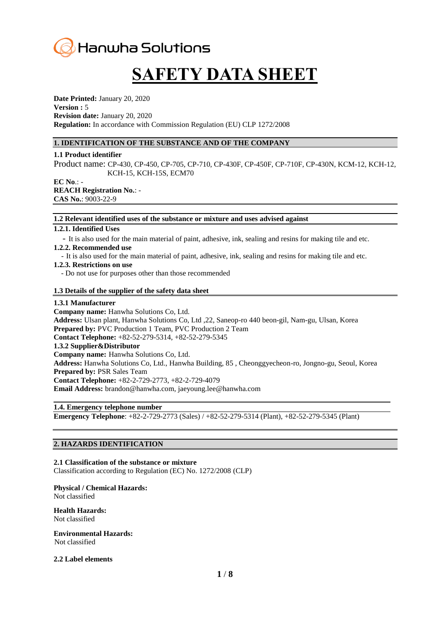# Hanwha Solutions

# **SAFETY DATA SHEET**

**Date Printed:** January 20, 2020 **Version :** 5 **Revision date:** January 20, 2020 **Regulation:** In accordance with Commission Regulation (EU) CLP 1272/2008

# **1. IDENTIFICATION OF THE SUBSTANCE AND OF THE COMPANY**

#### **1.1 Product identifier**

Product name: CP-430, CP-450, CP-705, CP-710, CP-430F, CP-450F, CP-710F, CP-430N, KCM-12, KCH-12, KCH-15, KCH-15S, ECM70

**EC No**.: - **REACH Registration No.**: - **CAS No.**: 9003-22-9

#### **1.2 Relevant identified uses of the substance or mixture and uses advised against**

#### **1.2.1. Identified Uses**

- It is also used for the main material of paint, adhesive, ink, sealing and resins for making tile and etc.

#### **1.2.2. Recommended use**

- It is also used for the main material of paint, adhesive, ink, sealing and resins for making tile and etc.

#### **1.2.3. Restrictions on use**

- Do not use for purposes other than those recommended

#### **1.3 Details of the supplier of the safety data sheet**

#### **1.3.1 Manufacturer**

**Company name:** Hanwha Solutions Co, Ltd. **Address:** Ulsan plant, Hanwha Solutions Co, Ltd ,22, Saneop-ro 440 beon-gil, Nam-gu, Ulsan, Korea **Prepared by:** PVC Production 1 Team, PVC Production 2 Team **Contact Telephone:** +82-52-279-5314, +82-52-279-5345 **1.3.2 Supplier&Distributor Company name:** Hanwha Solutions Co, Ltd. **Address:** Hanwha Solutions Co, Ltd., Hanwha Building, 85 , Cheonggyecheon-ro, Jongno-gu, Seoul, Korea **Prepared by:** PSR Sales Team **Contact Telephone:** +82-2-729-2773, +82-2-729-4079 **Email Address:** brandon@hanwha.com, jaeyoung.lee@hanwha.com

#### **1.4. Emergency telephone number**

**Emergency Telephone**: +82-2-729-2773 (Sales) / +82-52-279-5314 (Plant), +82-52-279-5345 (Plant)

# **2. HAZARDS IDENTIFICATION**

#### **2.1 Classification of the substance or mixture**

Classification according to Regulation (EC) No. 1272/2008 (CLP)

#### **Physical / Chemical Hazards:**

Not classified

#### **Health Hazards:**  Not classified

# **Environmental Hazards:**

Not classified

#### **2.2 Label elements**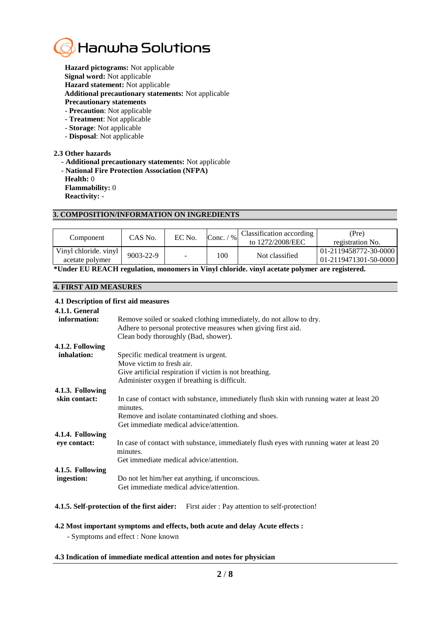

**Hazard pictograms:** Not applicable **Signal word:** Not applicable **Hazard statement:** Not applicable **Additional precautionary statements:** Not applicable

- **Precautionary statements**
- **Precaution**: Not applicable - **Treatment**: Not applicable
- **Storage**: Not applicable
- **Disposal**: Not applicable

#### **2.3 Other hazards**

- **- Additional precautionary statements:** Not applicable
- **National Fire Protection Association (NFPA)**

**Health:** 0 **Flammability:** 0

**Reactivity:** -

# **3. COMPOSITION/INFORMATION ON INGREDIENTS**

| Component                                | CAS No.         | EC No. | Conc.<br>$\frac{0}{0}$ | Classification according<br>to 1272/2008/EEC | (Pre)<br>registration No.                            |
|------------------------------------------|-----------------|--------|------------------------|----------------------------------------------|------------------------------------------------------|
| Vinyl chloride. vinyl<br>acetate polymer | $9003 - 22 - 9$ |        | 100                    | Not classified                               | 01-2119458772-30-0000  <br>$ 01-2119471301-50-0000 $ |

**\*Under EU REACH regulation, monomers in Vinyl chloride. vinyl acetate polymer are registered.**

#### **4. FIRST AID MEASURES**

#### **4.1 Description of first aid measures**

| <u>na Beschippedi of hipp and measure.</u> |                                                                                                      |
|--------------------------------------------|------------------------------------------------------------------------------------------------------|
| 4.1.1. General<br>information:             | Remove soiled or soaked clothing immediately, do not allow to dry.                                   |
|                                            | Adhere to personal protective measures when giving first aid.                                        |
|                                            | Clean body thoroughly (Bad, shower).                                                                 |
| 4.1.2. Following                           |                                                                                                      |
| inhalation:                                | Specific medical treatment is urgent.                                                                |
|                                            | Move victim to fresh air.                                                                            |
|                                            | Give artificial respiration if victim is not breathing.                                              |
|                                            | Administer oxygen if breathing is difficult.                                                         |
| 4.1.3. Following                           |                                                                                                      |
| skin contact:                              | In case of contact with substance, immediately flush skin with running water at least 20<br>minutes. |
|                                            | Remove and isolate contaminated clothing and shoes.                                                  |
|                                            | Get immediate medical advice/attention.                                                              |
| 4.1.4. Following                           |                                                                                                      |
| eye contact:                               | In case of contact with substance, immediately flush eyes with running water at least 20<br>minutes. |
|                                            | Get immediate medical advice/attention.                                                              |
| 4.1.5. Following                           |                                                                                                      |
| ingestion:                                 | Do not let him/her eat anything, if unconscious.                                                     |
|                                            | Get immediate medical advice/attention.                                                              |
|                                            |                                                                                                      |

## **4.1.5. Self-protection of the first aider:** First aider : Pay attention to self-protection!

#### **4.2 Most important symptoms and effects, both acute and delay Acute effects :**

- Symptoms and effect : None known

#### **4.3 Indication of immediate medical attention and notes for physician**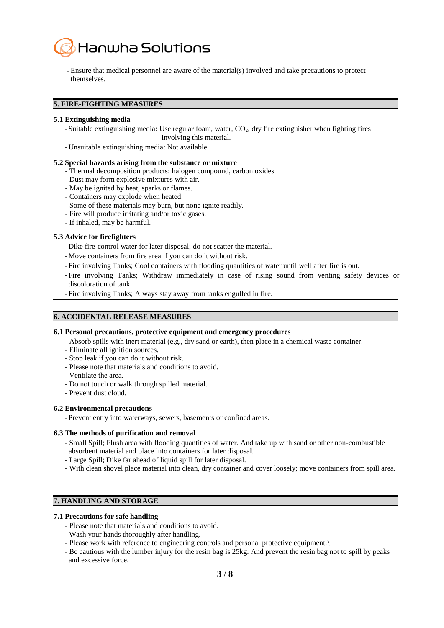

-Ensure that medical personnel are aware of the material(s) involved and take precautions to protect themselves.

# **5. FIRE-FIGHTING MEASURES**

#### **5.1 Extinguishing media**

- Suitable extinguishing media: Use regular foam, water,  $CO<sub>2</sub>$ , dry fire extinguisher when fighting fires involving this material.

- Unsuitable extinguishing media: Not available

#### **5.2 Special hazards arising from the substance or mixture**

- Thermal decomposition products: halogen compound, carbon oxides
- Dust may form explosive mixtures with air.
- May be ignited by heat, sparks or flames.
- Containers may explode when heated.
- Some of these materials may burn, but none ignite readily.
- Fire will produce irritating and/or toxic gases.
- If inhaled, may be harmful.

#### **5.3 Advice for firefighters**

- Dike fire-control water for later disposal; do not scatter the material.
- Move containers from fire area if you can do it without risk.
- Fire involving Tanks; Cool containers with flooding quantities of water until well after fire is out.
- Fire involving Tanks; Withdraw immediately in case of rising sound from venting safety devices or discoloration of tank.
- Fire involving Tanks; Always stay away from tanks engulfed in fire.

#### **6. ACCIDENTAL RELEASE MEASURES**

#### **6.1 Personal precautions, protective equipment and emergency procedures**

- Absorb spills with inert material (e.g., dry sand or earth), then place in a chemical waste container.
- Eliminate all ignition sources.
- Stop leak if you can do it without risk.
- Please note that materials and conditions to avoid.
- Ventilate the area.
- Do not touch or walk through spilled material.
- Prevent dust cloud.

#### **6.2 Environmental precautions**

- Prevent entry into waterways, sewers, basements or confined areas.

#### **6.3 The methods of purification and removal**

- Small Spill; Flush area with flooding quantities of water. And take up with sand or other non-combustible absorbent material and place into containers for later disposal.
- Large Spill; Dike far ahead of liquid spill for later disposal.
- With clean shovel place material into clean, dry container and cover loosely; move containers from spill area.

# **7. HANDLING AND STORAGE**

#### **7.1 Precautions for safe handling**

- Please note that materials and conditions to avoid.
- Wash your hands thoroughly after handling.
- Please work with reference to engineering controls and personal protective equipment.\
- Be cautious with the lumber injury for the resin bag is 25kg. And prevent the resin bag not to spill by peaks and excessive force.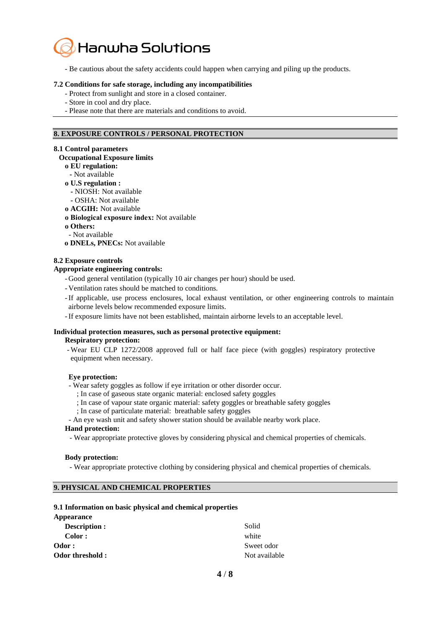

- Be cautious about the safety accidents could happen when carrying and piling up the products.

#### **7.2 Conditions for safe storage, including any incompatibilities**

- Protect from sunlight and store in a closed container.
- Store in cool and dry place.
- Please note that there are materials and conditions to avoid.

#### **8. EXPOSURE CONTROLS / PERSONAL PROTECTION**

#### **8.1 Control parameters**

#### **Occupational Exposure limits**

- **ο EU regulation:**
- **-** Not available

#### **ο U.S regulation :**

- **-** NIOSH: Not available
- **-** OSHA: Not available
- **ο ACGIH:** Not available
- **ο Biological exposure index:** Not available
- **ο Others:**
- Not available
- **ο DNELs, PNECs:** Not available

#### **8.2 Exposure controls**

#### **Appropriate engineering controls:**

- Good general ventilation (typically 10 air changes per hour) should be used.
- Ventilation rates should be matched to conditions.
- -If applicable, use process enclosures, local exhaust ventilation, or other engineering controls to maintain airborne levels below recommended exposure limits.
- -If exposure limits have not been established, maintain airborne levels to an acceptable level.

# **Individual protection measures, such as personal protective equipment:**

**Respiratory protection:**

- Wear EU CLP 1272/2008 approved full or half face piece (with goggles) respiratory protective equipment when necessary.

#### **Eye protection:**

- Wear safety goggles as follow if eye irritation or other disorder occur.

- ; In case of gaseous state organic material: enclosed safety goggles
- ; In case of vapour state organic material: safety goggles or breathable safety goggles
- ; In case of particulate material: breathable safety goggles
- An eye wash unit and safety shower station should be available nearby work place.

#### **Hand protection:**

- Wear appropriate protective gloves by considering physical and chemical properties of chemicals.

#### **Body protection:**

- Wear appropriate protective clothing by considering physical and chemical properties of chemicals.

## **9. PHYSICAL AND CHEMICAL PROPERTIES**

#### **9.1 Information on basic physical and chemical properties**

| <b>Appearance</b> |               |
|-------------------|---------------|
| Description :     | Solid         |
| Color:            | white         |
| Odor:             | Sweet odor    |
| Odor threshold:   | Not available |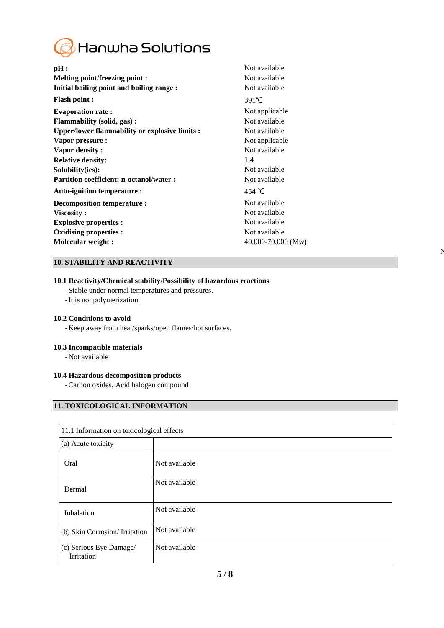

| Not available      |
|--------------------|
| Not available      |
| Not available      |
| $391^{\circ}$ C    |
| Not applicable     |
| Not available      |
| Not available      |
| Not applicable     |
| Not available      |
| 1.4                |
| Not available      |
| Not available      |
| 454 °C             |
| Not available      |
| Not available      |
| Not available      |
| Not available      |
| 40,000-70,000 (Mw) |
|                    |

 $\mathbf{N}$ 

# **10. STABILITY AND REACTIVITY**

# **10.1 Reactivity/Chemical stability/Possibility of hazardous reactions**

- Stable under normal temperatures and pressures.
- -It is not polymerization.

#### **10.2 Conditions to avoid**

- Keep away from heat/sparks/open flames/hot surfaces.

#### **10.3 Incompatible materials**

- Not available

#### **10.4 Hazardous decomposition products**

-Carbon oxides, Acid halogen compound

# **11. TOXICOLOGICAL INFORMATION**

| 11.1 Information on toxicological effects |               |
|-------------------------------------------|---------------|
| (a) Acute toxicity                        |               |
| Oral                                      | Not available |
| Dermal                                    | Not available |
| Inhalation                                | Not available |
| (b) Skin Corrosion/ Irritation            | Not available |
| (c) Serious Eye Damage/<br>Irritation     | Not available |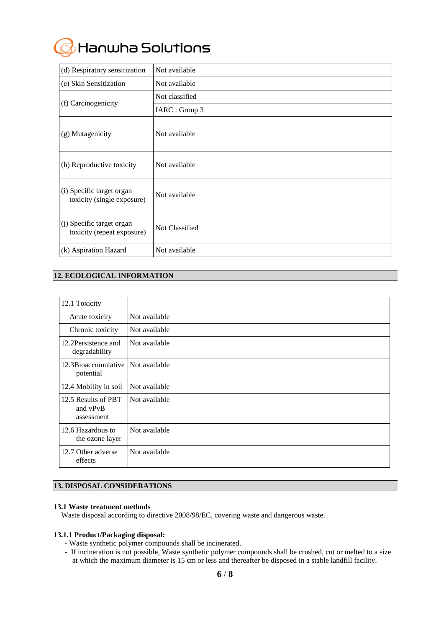Hanwha Solutions

| (d) Respiratory sensitization                           | Not available  |
|---------------------------------------------------------|----------------|
| (e) Skin Sensitization                                  | Not available  |
|                                                         | Not classified |
| (f) Carcinogenicity                                     | IARC : Group 3 |
| (g) Mutagenicity                                        | Not available  |
| (h) Reproductive toxicity                               | Not available  |
| (i) Specific target organ<br>toxicity (single exposure) | Not available  |
| (j) Specific target organ<br>toxicity (repeat exposure) | Not Classified |
| (k) Aspiration Hazard                                   | Not available  |

# **12. ECOLOGICAL INFORMATION**

| 12.1 Toxicity                                 |               |
|-----------------------------------------------|---------------|
| Acute toxicity                                | Not available |
| Chronic toxicity                              | Not available |
| 12.2 Persistence and<br>degradability         | Not available |
| 12.3Bioaccumulative<br>potential              | Not available |
| 12.4 Mobility in soil                         | Not available |
| 12.5 Results of PBT<br>and vPvB<br>assessment | Not available |
| 12.6 Hazardous to<br>the ozone layer          | Not available |
| 12.7 Other adverse<br>effects                 | Not available |

# **13. DISPOSAL CONSIDERATIONS**

#### **13.1 Waste treatment methods**

Waste disposal according to directive 2008/98/EC, covering waste and dangerous waste.

#### **13.1.1 Product/Packaging disposal:**

- Waste synthetic polymer compounds shall be incinerated.
- If incineration is not possible, Waste synthetic polymer compounds shall be crushed, cut or melted to a size at which the maximum diameter is 15 cm or less and thereafter be disposed in a stable landfill facility.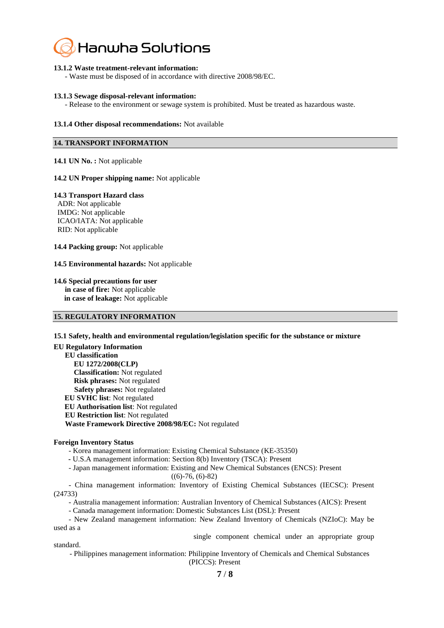

#### **13.1.2 Waste treatment-relevant information:**

- Waste must be disposed of in accordance with directive 2008/98/EC.

#### **13.1.3 Sewage disposal-relevant information:**

- Release to the environment or sewage system is prohibited. Must be treated as hazardous waste.

#### **13.1.4 Other disposal recommendations:** Not available

# **14. TRANSPORT INFORMATION**

**14.1 UN No. :** Not applicable

#### **14.2 UN Proper shipping name:** Not applicable

#### **14.3 Transport Hazard class**

ADR: Not applicable IMDG: Not applicable ICAO/IATA: Not applicable RID: Not applicable

**14.4 Packing group:** Not applicable

**14.5 Environmental hazards:** Not applicable

**14.6 Special precautions for user in case of fire:** Not applicable **in case of leakage:** Not applicable

# **15. REGULATORY INFORMATION**

#### **15.1 Safety, health and environmental regulation/legislation specific for the substance or mixture**

**EU Regulatory Information EU classification EU 1272/2008(CLP) Classification:** Not regulated **Risk phrases:** Not regulated  **Safety phrases:** Not regulated **EU SVHC list**: Not regulated **EU Authorisation list**: Not regulated **EU Restriction list**: Not regulated  **Waste Framework Directive 2008/98/EC:** Not regulated

#### **Foreign Inventory Status**

- Korea management information: Existing Chemical Substance (KE-35350)

**-** U.S.A management information: Section 8(b) Inventory (TSCA): Present

- Japan management information: Existing and New Chemical Substances (ENCS): Present  $((6)-76, (6)-82)$ 

- China management information: Inventory of Existing Chemical Substances (IECSC): Present (24733)

- Australia management information: Australian Inventory of Chemical Substances (AICS): Present

- Canada management information: Domestic Substances List (DSL): Present

- New Zealand management information: New Zealand Inventory of Chemicals (NZIoC): May be used as a

single component chemical under an appropriate group

standard. - Philippines management information: Philippine Inventory of Chemicals and Chemical Substances

(PICCS): Present